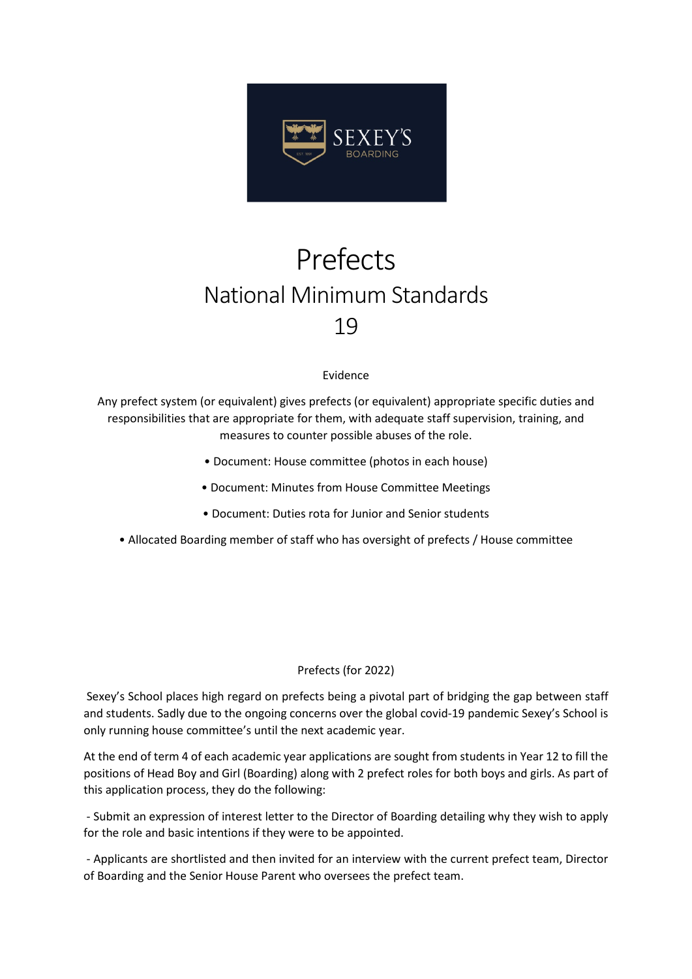

## Prefects National Minimum Standards 19

## Evidence

Any prefect system (or equivalent) gives prefects (or equivalent) appropriate specific duties and responsibilities that are appropriate for them, with adequate staff supervision, training, and measures to counter possible abuses of the role.

- Document: House committee (photos in each house)
- Document: Minutes from House Committee Meetings
- Document: Duties rota for Junior and Senior students
- Allocated Boarding member of staff who has oversight of prefects / House committee

## Prefects (for 2022)

Sexey's School places high regard on prefects being a pivotal part of bridging the gap between staff and students. Sadly due to the ongoing concerns over the global covid-19 pandemic Sexey's School is only running house committee's until the next academic year.

At the end of term 4 of each academic year applications are sought from students in Year 12 to fill the positions of Head Boy and Girl (Boarding) along with 2 prefect roles for both boys and girls. As part of this application process, they do the following:

- Submit an expression of interest letter to the Director of Boarding detailing why they wish to apply for the role and basic intentions if they were to be appointed.

- Applicants are shortlisted and then invited for an interview with the current prefect team, Director of Boarding and the Senior House Parent who oversees the prefect team.